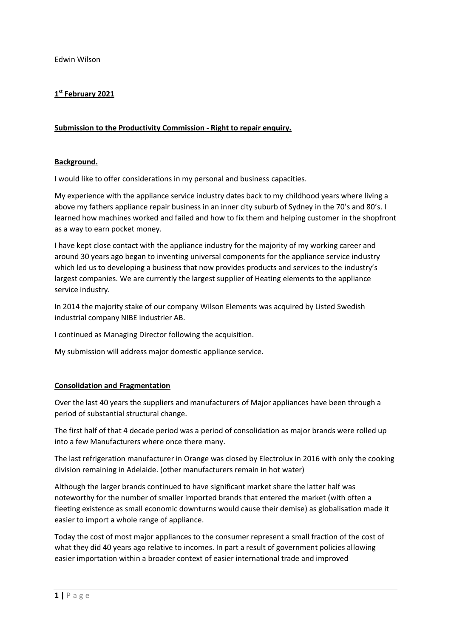Edwin Wilson

## **1 st February 2021**

## **Submission to the Productivity Commission - Right to repair enquiry.**

## **Background.**

I would like to offer considerations in my personal and business capacities.

My experience with the appliance service industry dates back to my childhood years where living a above my fathers appliance repair business in an inner city suburb of Sydney in the 70's and 80's. I learned how machines worked and failed and how to fix them and helping customer in the shopfront as a way to earn pocket money.

I have kept close contact with the appliance industry for the majority of my working career and around 30 years ago began to inventing universal components for the appliance service industry which led us to developing a business that now provides products and services to the industry's largest companies. We are currently the largest supplier of Heating elements to the appliance service industry.

In 2014 the majority stake of our company Wilson Elements was acquired by Listed Swedish industrial company NIBE industrier AB.

I continued as Managing Director following the acquisition.

My submission will address major domestic appliance service.

## **Consolidation and Fragmentation**

Over the last 40 years the suppliers and manufacturers of Major appliances have been through a period of substantial structural change.

The first half of that 4 decade period was a period of consolidation as major brands were rolled up into a few Manufacturers where once there many.

The last refrigeration manufacturer in Orange was closed by Electrolux in 2016 with only the cooking division remaining in Adelaide. (other manufacturers remain in hot water)

Although the larger brands continued to have significant market share the latter half was noteworthy for the number of smaller imported brands that entered the market (with often a fleeting existence as small economic downturns would cause their demise) as globalisation made it easier to import a whole range of appliance.

Today the cost of most major appliances to the consumer represent a small fraction of the cost of what they did 40 years ago relative to incomes. In part a result of government policies allowing easier importation within a broader context of easier international trade and improved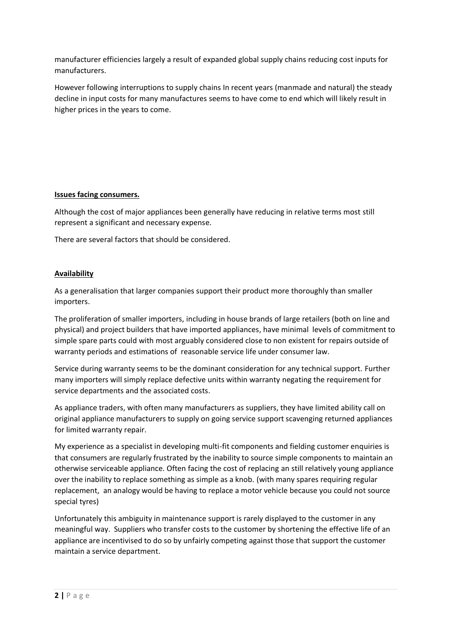manufacturer efficiencies largely a result of expanded global supply chains reducing cost inputs for manufacturers.

However following interruptions to supply chains In recent years (manmade and natural) the steady decline in input costs for many manufactures seems to have come to end which will likely result in higher prices in the years to come.

# **Issues facing consumers.**

Although the cost of major appliances been generally have reducing in relative terms most still represent a significant and necessary expense.

There are several factors that should be considered.

# **Availability**

As a generalisation that larger companies support their product more thoroughly than smaller importers.

The proliferation of smaller importers, including in house brands of large retailers (both on line and physical) and project builders that have imported appliances, have minimal levels of commitment to simple spare parts could with most arguably considered close to non existent for repairs outside of warranty periods and estimations of reasonable service life under consumer law.

Service during warranty seems to be the dominant consideration for any technical support. Further many importers will simply replace defective units within warranty negating the requirement for service departments and the associated costs.

As appliance traders, with often many manufacturers as suppliers, they have limited ability call on original appliance manufacturers to supply on going service support scavenging returned appliances for limited warranty repair.

My experience as a specialist in developing multi-fit components and fielding customer enquiries is that consumers are regularly frustrated by the inability to source simple components to maintain an otherwise serviceable appliance. Often facing the cost of replacing an still relatively young appliance over the inability to replace something as simple as a knob. (with many spares requiring regular replacement, an analogy would be having to replace a motor vehicle because you could not source special tyres)

Unfortunately this ambiguity in maintenance support is rarely displayed to the customer in any meaningful way. Suppliers who transfer costs to the customer by shortening the effective life of an appliance are incentivised to do so by unfairly competing against those that support the customer maintain a service department.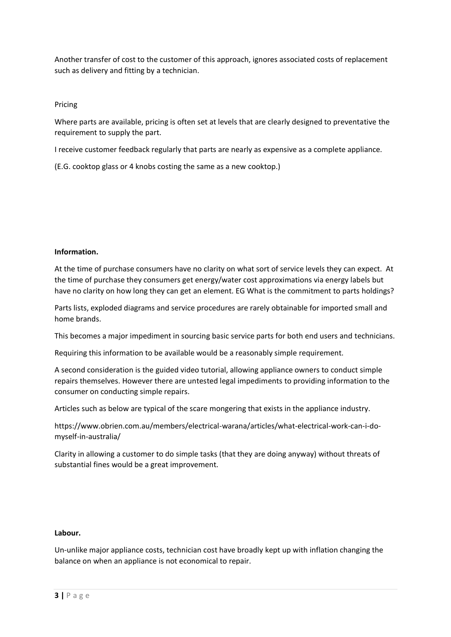Another transfer of cost to the customer of this approach, ignores associated costs of replacement such as delivery and fitting by a technician.

## Pricing

Where parts are available, pricing is often set at levels that are clearly designed to preventative the requirement to supply the part.

I receive customer feedback regularly that parts are nearly as expensive as a complete appliance.

(E.G. cooktop glass or 4 knobs costing the same as a new cooktop.)

## **Information.**

At the time of purchase consumers have no clarity on what sort of service levels they can expect. At the time of purchase they consumers get energy/water cost approximations via energy labels but have no clarity on how long they can get an element. EG What is the commitment to parts holdings?

Parts lists, exploded diagrams and service procedures are rarely obtainable for imported small and home brands.

This becomes a major impediment in sourcing basic service parts for both end users and technicians.

Requiring this information to be available would be a reasonably simple requirement.

A second consideration is the guided video tutorial, allowing appliance owners to conduct simple repairs themselves. However there are untested legal impediments to providing information to the consumer on conducting simple repairs.

Articles such as below are typical of the scare mongering that exists in the appliance industry.

https://www.obrien.com.au/members/electrical-warana/articles/what-electrical-work-can-i-domyself-in-australia/

Clarity in allowing a customer to do simple tasks (that they are doing anyway) without threats of substantial fines would be a great improvement.

## **Labour.**

Un-unlike major appliance costs, technician cost have broadly kept up with inflation changing the balance on when an appliance is not economical to repair.